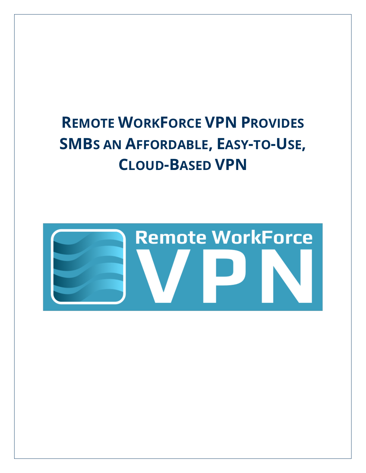# **REMOTE WORKFORCE VPN PROVIDES SMBS AN AFFORDABLE, EASY-TO-USE, CLOUD-BASED VPN**

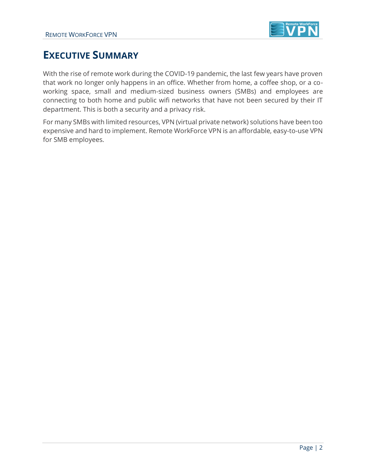

# **EXECUTIVE SUMMARY**

With the rise of remote work during the COVID-19 pandemic, the last few years have proven that work no longer only happens in an office. Whether from home, a coffee shop, or a coworking space, small and medium-sized business owners (SMBs) and employees are connecting to both home and public wifi networks that have not been secured by their IT department. This is both a security and a privacy risk.

For many SMBs with limited resources, VPN (virtual private network) solutions have been too expensive and hard to implement. Remote WorkForce VPN is an affordable, easy-to-use VPN for SMB employees.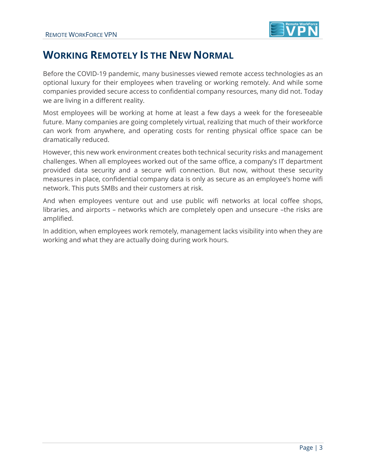

# **WORKING REMOTELY IS THE NEW NORMAL**

Before the COVID-19 pandemic, many businesses viewed remote access technologies as an optional luxury for their employees when traveling or working remotely. And while some companies provided secure access to confidential company resources, many did not. Today we are living in a different reality.

Most employees will be working at home at least a few days a week for the foreseeable future. Many companies are going completely virtual, realizing that much of their workforce can work from anywhere, and operating costs for renting physical office space can be dramatically reduced.

However, this new work environment creates both technical security risks and management challenges. When all employees worked out of the same office, a company's IT department provided data security and a secure wifi connection. But now, without these security measures in place, confidential company data is only as secure as an employee's home wifi network. This puts SMBs and their customers at risk.

And when employees venture out and use public wifi networks at local coffee shops, libraries, and airports – networks which are completely open and unsecure –the risks are amplified.

In addition, when employees work remotely, management lacks visibility into when they are working and what they are actually doing during work hours.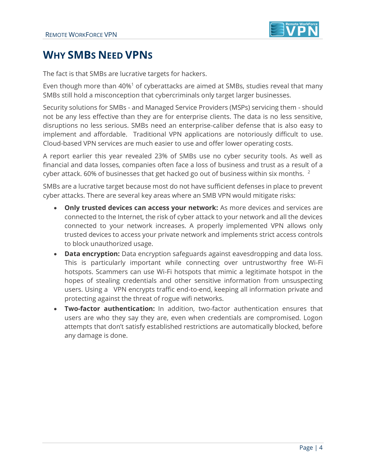

# **WHY SMBS NEED VPNS**

The fact is that SMBs are lucrative targets for hackers.

Even though more than 40%<sup>1</sup> of cyberattacks are aimed at SMBs, studies reveal that many SMBs still hold a misconception that cybercriminals only target larger businesses.

Security solutions for SMBs - and Managed Service Providers (MSPs) servicing them - should not be any less effective than they are for enterprise clients. The data is no less sensitive, disruptions no less serious. SMBs need an enterprise-caliber defense that is also easy to implement and affordable. Traditional VPN applications are notoriously difficult to use. Cloud-based VPN services are much easier to use and offer lower operating costs.

A report earlier this year revealed 23% of SMBs use no cyber security tools. As well as financial and data losses, companies often face a loss of business and trust as a result of a cyber attack. 60% of businesses that get hacked go out of business within six months.  $2$ 

SMBs are a lucrative target because most do not have sufficient defenses in place to prevent cyber attacks. There are several key areas where an SMB VPN would mitigate risks:

- **Only trusted devices can access your network:** As more devices and services are connected to the Internet, the risk of cyber attack to your network and all the devices connected to your network increases. A properly implemented VPN allows only trusted devices to access your private network and implements strict access controls to block unauthorized usage.
- **Data encryption:** Data encryption safeguards against eavesdropping and data loss. This is particularly important while connecting over untrustworthy free Wi-Fi hotspots. Scammers can use Wi-Fi hotspots that mimic a legitimate hotspot in the hopes of stealing credentials and other sensitive information from unsuspecting users. Using a VPN encrypts traffic end-to-end, keeping all information private and protecting against the threat of rogue wifi networks.
- **Two-factor authentication:** In addition, two-factor authentication ensures that users are who they say they are, even when credentials are compromised. Logon attempts that don't satisfy established restrictions are automatically blocked, before any damage is done.